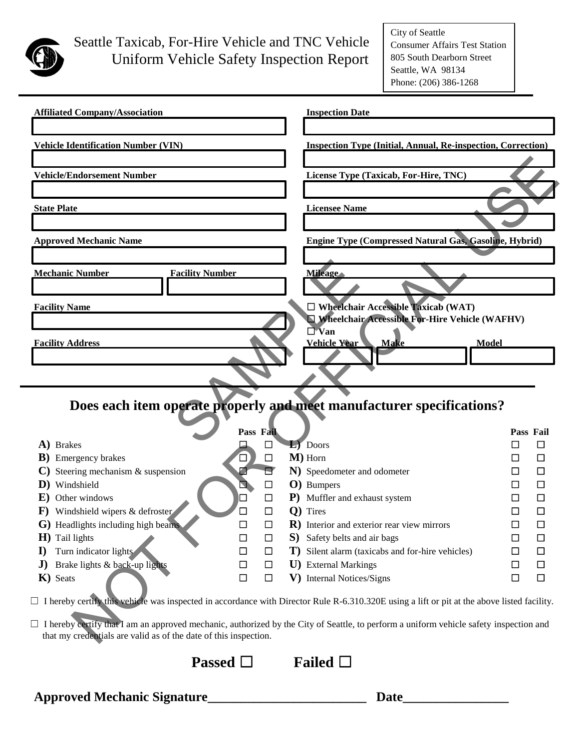

## Seattle Taxicab, For-Hire Vehicle and TNC Vehicle Uniform Vehicle Safety Inspection Report

City of Seattle Consumer Affairs Test Station 805 South Dearborn Street Seattle, WA 98134 Phone: (206) 386-1268

| <b>Affiliated Company/Association</b>                            |        |           |              | <b>Inspection Date</b>                                                                                                                             |                  |
|------------------------------------------------------------------|--------|-----------|--------------|----------------------------------------------------------------------------------------------------------------------------------------------------|------------------|
| <b>Vehicle Identification Number (VIN)</b>                       |        |           |              | <b>Inspection Type (Initial, Annual, Re-inspection, Correction)</b>                                                                                |                  |
| <b>Vehicle/Endorsement Number</b>                                |        |           |              | License Type (Taxicab, For-Hire, TNC)                                                                                                              |                  |
| <b>State Plate</b>                                               |        |           |              | <b>Licensee Name</b>                                                                                                                               |                  |
| <b>Approved Mechanic Name</b>                                    |        |           |              | Engine Type (Compressed Natural Gas, Gasoline, Hybrid)                                                                                             |                  |
| <b>Mechanic Number</b><br><b>Facility Number</b>                 |        |           |              | <b>Mileage</b>                                                                                                                                     |                  |
| <b>Facility Name</b>                                             |        |           |              | $\Box$ Wheelchair Accessible Taxicab (WAT)                                                                                                         |                  |
|                                                                  |        |           |              | Wheelchair Accessible For-Hire Vehicle (WAFHV)<br>$\overline{\Box}$ Van                                                                            |                  |
| <b>Facility Address</b>                                          |        |           |              | Vehicle Year<br><b>Make</b><br><b>Model</b>                                                                                                        |                  |
|                                                                  |        |           |              | Does each item operate properly and meet manufacturer specifications?                                                                              |                  |
|                                                                  |        | Pass Fail |              |                                                                                                                                                    | Pass Fail        |
| A) Brakes                                                        |        |           |              | $L$ ) Doors                                                                                                                                        | $\mathbf{L}$     |
| <b>B</b> ) Emergency brakes                                      |        | $\Box$    |              | M) Horn                                                                                                                                            |                  |
| Steering mechanism & suspension                                  |        |           |              | N) Speedometer and odometer                                                                                                                        |                  |
| D) Windshield                                                    |        | ப         |              | O) Bumpers                                                                                                                                         |                  |
| <b>E</b> ) Other windows                                         |        | □         |              | P) Muffler and exhaust system                                                                                                                      |                  |
| <b>F</b> ) Windshield wipers $\&$ defroster                      |        | □         |              | Q) Tires                                                                                                                                           |                  |
| G) Headlights including high beams                               | $\Box$ | $\Box$    |              | R) Interior and exterior rear view mirrors                                                                                                         | $\Box$<br>□      |
| $H$ ) Tail lights                                                | □      | $\Box$    | S)           | Safety belts and air bags                                                                                                                          | □<br>□           |
| Turn indicator lights<br>$\bf{l}$                                | □      | $\Box$    | $\mathbf{T}$ | Silent alarm (taxicabs and for-hire vehicles)                                                                                                      | $\Box$<br>□      |
| Brake lights & back-up lights<br>$\mathbf{J}$                    | □      | □         |              | U) External Markings                                                                                                                               | $\Box$<br>□      |
| K) Seats                                                         | $\Box$ | $\Box$    | V)           | <b>Internal Notices/Signs</b>                                                                                                                      | $\Box$<br>$\Box$ |
|                                                                  |        |           |              | $\Box$ I hereby certify this vehicle was inspected in accordance with Director Rule R-6.310.320E using a lift or pit at the above listed facility. |                  |
| that my credentials are valid as of the date of this inspection. |        |           |              | $\Box$ I hereby certify that I am an approved mechanic, authorized by the City of Seattle, to perform a uniform vehicle safety inspection and      |                  |

| <b>Passed</b> $\Box$ | Failed $\square$ |  |
|----------------------|------------------|--|
|----------------------|------------------|--|

**Approved Mechanic Signature\_\_\_\_\_\_\_\_\_\_\_\_\_\_\_\_\_\_\_\_\_\_\_\_ Date\_\_\_\_\_\_\_\_\_\_\_\_\_\_\_\_**